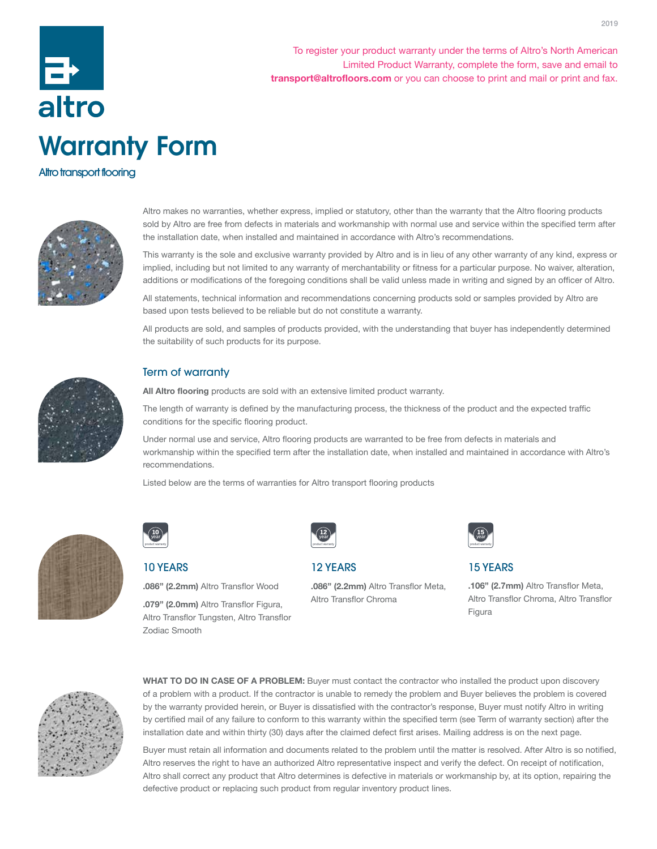

To register your product warranty under the terms of Altro's North American Limited Product Warranty, complete the form, save and email to transport@altrofloors.com or you can choose to print and mail or print and fax.

# Altro transport flooring



Altro makes no warranties, whether express, implied or statutory, other than the warranty that the Altro flooring products sold by Altro are free from defects in materials and workmanship with normal use and service within the specified term after the installation date, when installed and maintained in accordance with Altro's recommendations.

This warranty is the sole and exclusive warranty provided by Altro and is in lieu of any other warranty of any kind, express or implied, including but not limited to any warranty of merchantability or fitness for a particular purpose. No waiver, alteration, additions or modifications of the foregoing conditions shall be valid unless made in writing and signed by an officer of Altro.

All statements, technical information and recommendations concerning products sold or samples provided by Altro are based upon tests believed to be reliable but do not constitute a warranty.

All products are sold, and samples of products provided, with the understanding that buyer has independently determined the suitability of such products for its purpose.



# Term of warranty

All Altro flooring products are sold with an extensive limited product warranty.

The length of warranty is defined by the manufacturing process, the thickness of the product and the expected traffic conditions for the specific flooring product.

Under normal use and service, Altro flooring products are warranted to be free from defects in materials and workmanship within the specified term after the installation date, when installed and maintained in accordance with Altro's recommendations.

Listed below are the terms of warranties for Altro transport flooring products



| orran |  |
|-------|--|

# 10 YEARS

.086" (2.2mm) Altro Transflor Wood

.079" (2.0mm) Altro Transflor Figura, Altro Transflor Tungsten, Altro Transflor Zodiac Smooth



### 12 YEARS

Altro Transflor Chroma



15 YEARS

.106" (2.7mm) Altro Transflor Meta, Altro Transflor Chroma, Altro Transflor Figura



WHAT TO DO IN CASE OF A PROBLEM: Buyer must contact the contractor who installed the product upon discovery of a problem with a product. If the contractor is unable to remedy the problem and Buyer believes the problem is covered by the warranty provided herein, or Buyer is dissatisfied with the contractor's response, Buyer must notify Altro in writing by certified mail of any failure to conform to this warranty within the specified term (see Term of warranty section) after the installation date and within thirty (30) days after the claimed defect first arises. Mailing address is on the next page.

.086" (2.2mm) Altro Transflor Meta,

Buyer must retain all information and documents related to the problem until the matter is resolved. After Altro is so notified, Altro reserves the right to have an authorized Altro representative inspect and verify the defect. On receipt of notification, Altro shall correct any product that Altro determines is defective in materials or workmanship by, at its option, repairing the defective product or replacing such product from regular inventory product lines.